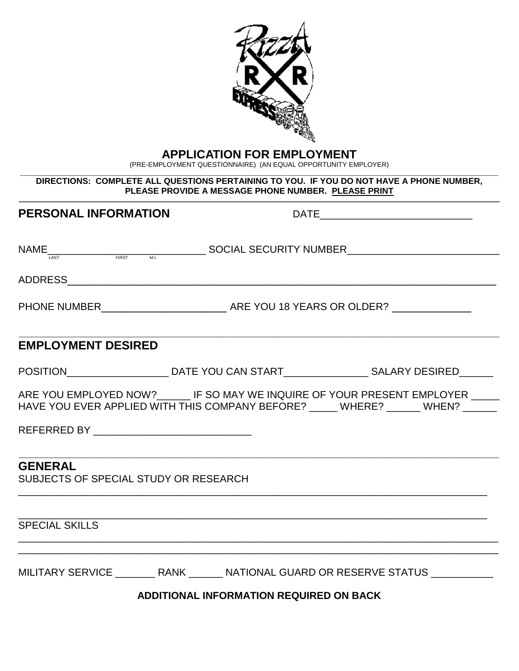

# **APPLICATION FOR EMPLOYMENT**

(PRE-EMPLOYMENT QUESTIONNAIRE) (AN EQUAL OPPORTUNITY EMPLOYER)

#### \_\_\_\_\_\_\_\_\_\_\_\_\_\_\_\_\_\_\_\_\_\_\_\_\_\_\_\_\_\_\_\_\_\_\_\_\_\_\_\_\_\_\_\_\_\_\_\_\_\_\_\_\_\_\_\_\_\_\_\_\_\_\_\_\_\_\_\_\_\_\_\_\_\_\_\_\_\_\_\_\_\_\_\_\_\_\_\_\_\_\_\_\_\_\_\_\_\_\_\_\_\_\_\_\_\_\_\_\_\_\_\_\_\_\_\_\_\_\_\_\_\_\_\_\_\_\_\_\_\_\_\_\_\_\_\_\_\_\_\_\_ **DIRECTIONS: COMPLETE ALL QUESTIONS PERTAINING TO YOU. IF YOU DO NOT HAVE A PHONE NUMBER, PLEASE PROVIDE A MESSAGE PHONE NUMBER. PLEASE PRINT**

| <b>PERSONAL INFORMATION</b>                             |                                                                                                                                                                                                                       |                                                                                                                                                                       |  |  |  |
|---------------------------------------------------------|-----------------------------------------------------------------------------------------------------------------------------------------------------------------------------------------------------------------------|-----------------------------------------------------------------------------------------------------------------------------------------------------------------------|--|--|--|
|                                                         | $\textsf{NAME}\underset{\textsf{\tiny LAST}}{\underbrace{\qquad \qquad }}\qquad \qquad \textsf{\tiny EIRST}\qquad \textsf{\tiny M.L.}}{\underbrace{\qquad \qquad }}\textsf{SOCIAL SECURITY NUMBER}\textsf{\tiny L.}}$ |                                                                                                                                                                       |  |  |  |
|                                                         |                                                                                                                                                                                                                       |                                                                                                                                                                       |  |  |  |
|                                                         |                                                                                                                                                                                                                       |                                                                                                                                                                       |  |  |  |
| <b>EMPLOYMENT DESIRED</b>                               |                                                                                                                                                                                                                       |                                                                                                                                                                       |  |  |  |
|                                                         |                                                                                                                                                                                                                       | POSITION_____________________________DATE YOU CAN START________________________SALARY DESIRED_______                                                                  |  |  |  |
| REFERRED BY __________________________________          |                                                                                                                                                                                                                       | ARE YOU EMPLOYED NOW? _______ IF SO MAY WE INQUIRE OF YOUR PRESENT EMPLOYER _____<br>HAVE YOU EVER APPLIED WITH THIS COMPANY BEFORE? _____ WHERE? ______ WHEN? ______ |  |  |  |
| <b>GENERAL</b><br>SUBJECTS OF SPECIAL STUDY OR RESEARCH |                                                                                                                                                                                                                       |                                                                                                                                                                       |  |  |  |
| <b>SPECIAL SKILLS</b>                                   |                                                                                                                                                                                                                       | ,我们也不能在这里的时候,我们也不能在这里的时候,我们也不能在这里的时候,我们也不能会在这里的时候,我们也不能会在这里的时候,我们也不能会在这里的时候,我们也不                                                                                      |  |  |  |
|                                                         |                                                                                                                                                                                                                       | MILITARY SERVICE __________ RANK ________ NATIONAL GUARD OR RESERVE STATUS ____________                                                                               |  |  |  |
| <b>ADDITIONAL INFORMATION REQUIRED ON BACK</b>          |                                                                                                                                                                                                                       |                                                                                                                                                                       |  |  |  |